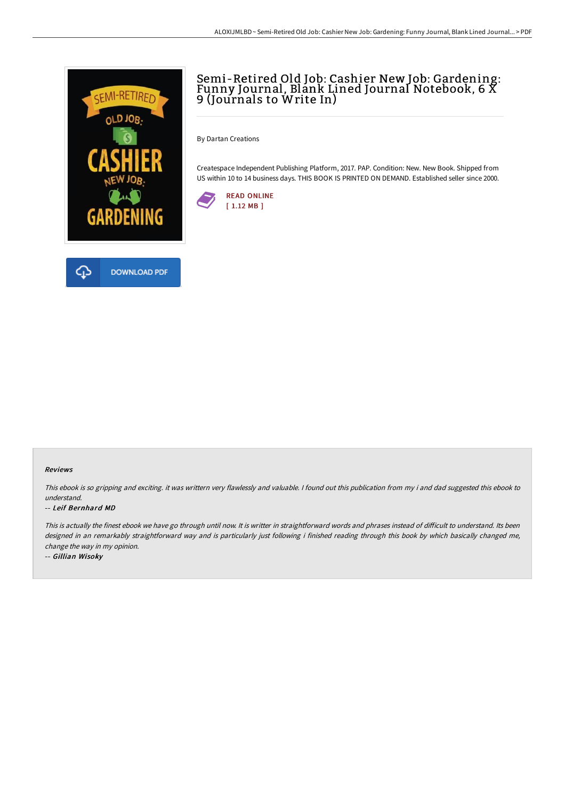

## Semi-Retired Old Job: Cashier New Job: Gardening: Funny Journal, Blank Lined Journal Notebook, 6 X 9 (Journals to Write In)

By Dartan Creations

Createspace Independent Publishing Platform, 2017. PAP. Condition: New. New Book. Shipped from US within 10 to 14 business days. THIS BOOK IS PRINTED ON DEMAND. Established seller since 2000.



## Reviews

This ebook is so gripping and exciting. it was writtern very flawlessly and valuable. I found out this publication from my i and dad suggested this ebook to understand.

## -- Leif Bernhard MD

This is actually the finest ebook we have go through until now. It is writter in straightforward words and phrases instead of difficult to understand. Its been designed in an remarkably straightforward way and is particularly just following i finished reading through this book by which basically changed me, change the way in my opinion.

-- Gillian Wisoky